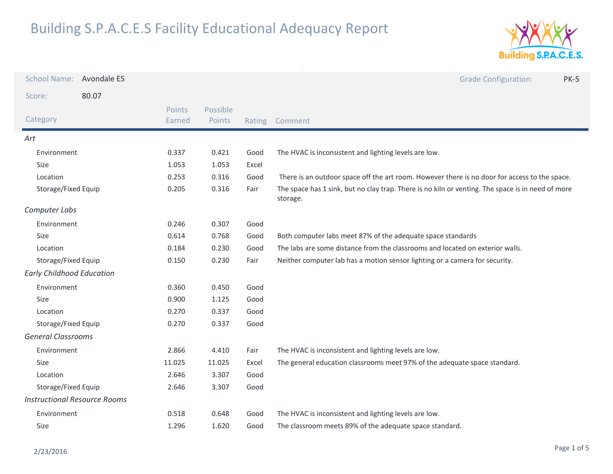

| <b>School Name:</b>                 | Avondale ES |                  |                    |        | <b>Grade Configuration:</b><br><b>PK-5</b>                                                                    |
|-------------------------------------|-------------|------------------|--------------------|--------|---------------------------------------------------------------------------------------------------------------|
| Score:                              | 80.07       |                  |                    |        |                                                                                                               |
| Category                            |             | Points<br>Earned | Possible<br>Points | Rating | Comment                                                                                                       |
| Art                                 |             |                  |                    |        |                                                                                                               |
| Environment                         |             | 0.337            | 0.421              | Good   | The HVAC is inconsistent and lighting levels are low.                                                         |
| Size                                |             | 1.053            | 1.053              | Excel  |                                                                                                               |
| Location                            |             | 0.253            | 0.316              | Good   | There is an outdoor space off the art room. However there is no door for access to the space.                 |
| Storage/Fixed Equip                 |             | 0.205            | 0.316              | Fair   | The space has 1 sink, but no clay trap. There is no kiln or venting. The space is in need of more<br>storage. |
| Computer Labs                       |             |                  |                    |        |                                                                                                               |
| Environment                         |             | 0.246            | 0.307              | Good   |                                                                                                               |
| Size                                |             | 0.614            | 0.768              | Good   | Both computer labs meet 87% of the adequate space standards                                                   |
| Location                            |             | 0.184            | 0.230              | Good   | The labs are some distance from the classrooms and located on exterior walls.                                 |
| Storage/Fixed Equip                 |             | 0.150            | 0.230              | Fair   | Neither computer lab has a motion sensor lighting or a camera for security.                                   |
| <b>Early Childhood Education</b>    |             |                  |                    |        |                                                                                                               |
| Environment                         |             | 0.360            | 0.450              | Good   |                                                                                                               |
| Size                                |             | 0.900            | 1.125              | Good   |                                                                                                               |
| Location                            |             | 0.270            | 0.337              | Good   |                                                                                                               |
| Storage/Fixed Equip                 |             | 0.270            | 0.337              | Good   |                                                                                                               |
| <b>General Classrooms</b>           |             |                  |                    |        |                                                                                                               |
| Environment                         |             | 2.866            | 4.410              | Fair   | The HVAC is inconsistent and lighting levels are low.                                                         |
| Size                                |             | 11.025           | 11.025             | Excel  | The general education classrooms meet 97% of the adequate space standard.                                     |
| Location                            |             | 2.646            | 3.307              | Good   |                                                                                                               |
| Storage/Fixed Equip                 |             | 2.646            | 3.307              | Good   |                                                                                                               |
| <b>Instructional Resource Rooms</b> |             |                  |                    |        |                                                                                                               |
| Environment                         |             | 0.518            | 0.648              | Good   | The HVAC is inconsistent and lighting levels are low.                                                         |
| Size                                |             | 1.296            | 1.620              | Good   | The classroom meets 89% of the adequate space standard.                                                       |
|                                     |             |                  |                    |        |                                                                                                               |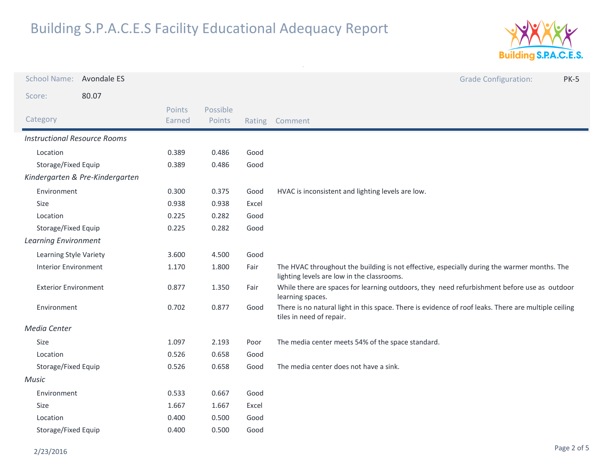

| <b>School Name:</b>                 | Avondale ES                     |                  |                    |        | <b>Grade Configuration:</b><br><b>PK-5</b>                                                                                                |
|-------------------------------------|---------------------------------|------------------|--------------------|--------|-------------------------------------------------------------------------------------------------------------------------------------------|
| Score:                              | 80.07                           |                  |                    |        |                                                                                                                                           |
| Category                            |                                 | Points<br>Earned | Possible<br>Points | Rating | Comment                                                                                                                                   |
| <b>Instructional Resource Rooms</b> |                                 |                  |                    |        |                                                                                                                                           |
| Location                            |                                 | 0.389            | 0.486              | Good   |                                                                                                                                           |
| Storage/Fixed Equip                 |                                 | 0.389            | 0.486              | Good   |                                                                                                                                           |
|                                     | Kindergarten & Pre-Kindergarten |                  |                    |        |                                                                                                                                           |
| Environment                         |                                 | 0.300            | 0.375              | Good   | HVAC is inconsistent and lighting levels are low.                                                                                         |
| Size                                |                                 | 0.938            | 0.938              | Excel  |                                                                                                                                           |
| Location                            |                                 | 0.225            | 0.282              | Good   |                                                                                                                                           |
| Storage/Fixed Equip                 |                                 | 0.225            | 0.282              | Good   |                                                                                                                                           |
| <b>Learning Environment</b>         |                                 |                  |                    |        |                                                                                                                                           |
| Learning Style Variety              |                                 | 3.600            | 4.500              | Good   |                                                                                                                                           |
| <b>Interior Environment</b>         |                                 | 1.170            | 1.800              | Fair   | The HVAC throughout the building is not effective, especially during the warmer months. The<br>lighting levels are low in the classrooms. |
| <b>Exterior Environment</b>         |                                 | 0.877            | 1.350              | Fair   | While there are spaces for learning outdoors, they need refurbishment before use as outdoor<br>learning spaces.                           |
| Environment                         |                                 | 0.702            | 0.877              | Good   | There is no natural light in this space. There is evidence of roof leaks. There are multiple ceiling<br>tiles in need of repair.          |
| Media Center                        |                                 |                  |                    |        |                                                                                                                                           |
| Size                                |                                 | 1.097            | 2.193              | Poor   | The media center meets 54% of the space standard.                                                                                         |
| Location                            |                                 | 0.526            | 0.658              | Good   |                                                                                                                                           |
| Storage/Fixed Equip                 |                                 | 0.526            | 0.658              | Good   | The media center does not have a sink.                                                                                                    |
| <b>Music</b>                        |                                 |                  |                    |        |                                                                                                                                           |
| Environment                         |                                 | 0.533            | 0.667              | Good   |                                                                                                                                           |
| Size                                |                                 | 1.667            | 1.667              | Excel  |                                                                                                                                           |
| Location                            |                                 | 0.400            | 0.500              | Good   |                                                                                                                                           |
| Storage/Fixed Equip                 |                                 | 0.400            | 0.500              | Good   |                                                                                                                                           |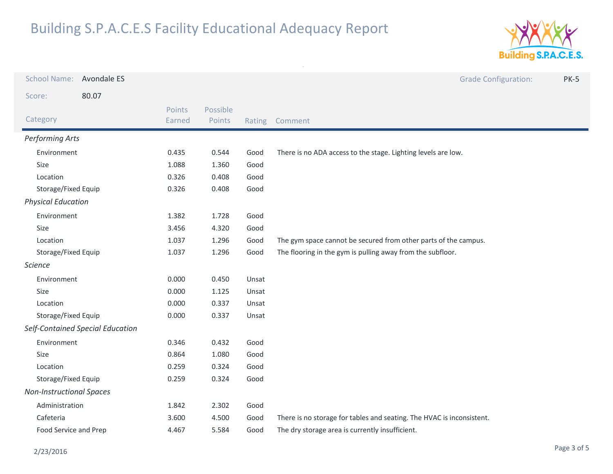

| <b>School Name:</b>             | Avondale ES                      |                  |                    |        | <b>Grade Configuration:</b><br><b>PK-5</b>                            |
|---------------------------------|----------------------------------|------------------|--------------------|--------|-----------------------------------------------------------------------|
| Score:                          | 80.07                            |                  |                    |        |                                                                       |
| Category                        |                                  | Points<br>Earned | Possible<br>Points | Rating | Comment                                                               |
| <b>Performing Arts</b>          |                                  |                  |                    |        |                                                                       |
| Environment                     |                                  | 0.435            | 0.544              | Good   | There is no ADA access to the stage. Lighting levels are low.         |
| Size                            |                                  | 1.088            | 1.360              | Good   |                                                                       |
| Location                        |                                  | 0.326            | 0.408              | Good   |                                                                       |
| Storage/Fixed Equip             |                                  | 0.326            | 0.408              | Good   |                                                                       |
| <b>Physical Education</b>       |                                  |                  |                    |        |                                                                       |
| Environment                     |                                  | 1.382            | 1.728              | Good   |                                                                       |
| Size                            |                                  | 3.456            | 4.320              | Good   |                                                                       |
| Location                        |                                  | 1.037            | 1.296              | Good   | The gym space cannot be secured from other parts of the campus.       |
| Storage/Fixed Equip             |                                  | 1.037            | 1.296              | Good   | The flooring in the gym is pulling away from the subfloor.            |
| <b>Science</b>                  |                                  |                  |                    |        |                                                                       |
| Environment                     |                                  | 0.000            | 0.450              | Unsat  |                                                                       |
| Size                            |                                  | 0.000            | 1.125              | Unsat  |                                                                       |
| Location                        |                                  | 0.000            | 0.337              | Unsat  |                                                                       |
| Storage/Fixed Equip             |                                  | 0.000            | 0.337              | Unsat  |                                                                       |
|                                 | Self-Contained Special Education |                  |                    |        |                                                                       |
| Environment                     |                                  | 0.346            | 0.432              | Good   |                                                                       |
| Size                            |                                  |                  | 1.080              | Good   |                                                                       |
| Location                        |                                  | 0.259            | 0.324              | Good   |                                                                       |
| Storage/Fixed Equip             |                                  | 0.259            | 0.324              | Good   |                                                                       |
| <b>Non-Instructional Spaces</b> |                                  |                  |                    |        |                                                                       |
| Administration                  |                                  | 1.842            | 2.302              | Good   |                                                                       |
| Cafeteria                       |                                  | 3.600            | 4.500              | Good   | There is no storage for tables and seating. The HVAC is inconsistent. |
| Food Service and Prep           |                                  | 4.467            | 5.584              | Good   | The dry storage area is currently insufficient.                       |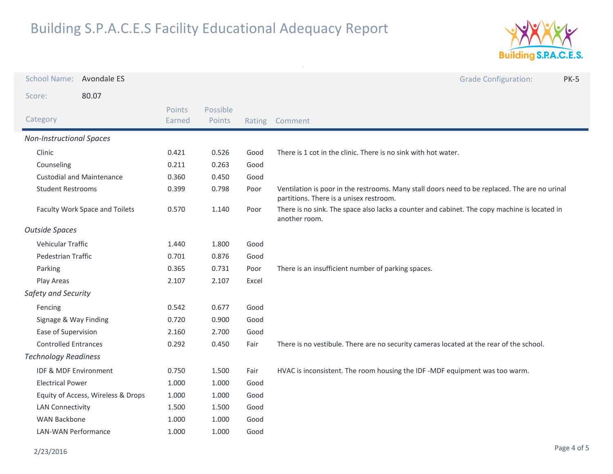

| <b>School Name:</b>              | Avondale ES                        |                  |                    |        | <b>Grade Configuration:</b><br><b>PK-5</b>                                                                                               |
|----------------------------------|------------------------------------|------------------|--------------------|--------|------------------------------------------------------------------------------------------------------------------------------------------|
| Score:                           | 80.07                              |                  |                    |        |                                                                                                                                          |
| Category                         |                                    | Points<br>Earned | Possible<br>Points | Rating | Comment                                                                                                                                  |
| <b>Non-Instructional Spaces</b>  |                                    |                  |                    |        |                                                                                                                                          |
| Clinic                           |                                    | 0.421            | 0.526              | Good   | There is 1 cot in the clinic. There is no sink with hot water.                                                                           |
| Counseling                       |                                    | 0.211            | 0.263              | Good   |                                                                                                                                          |
| <b>Custodial and Maintenance</b> |                                    | 0.360            | 0.450              | Good   |                                                                                                                                          |
| <b>Student Restrooms</b>         |                                    | 0.399            | 0.798              | Poor   | Ventilation is poor in the restrooms. Many stall doors need to be replaced. The are no urinal<br>partitions. There is a unisex restroom. |
| Faculty Work Space and Toilets   |                                    | 0.570            | 1.140              | Poor   | There is no sink. The space also lacks a counter and cabinet. The copy machine is located in<br>another room.                            |
| <b>Outside Spaces</b>            |                                    |                  |                    |        |                                                                                                                                          |
| Vehicular Traffic                |                                    | 1.440            | 1.800              | Good   |                                                                                                                                          |
| Pedestrian Traffic               |                                    | 0.701            | 0.876              | Good   |                                                                                                                                          |
| Parking                          |                                    | 0.365            | 0.731              | Poor   | There is an insufficient number of parking spaces.                                                                                       |
| Play Areas                       |                                    | 2.107            | 2.107              | Excel  |                                                                                                                                          |
| Safety and Security              |                                    |                  |                    |        |                                                                                                                                          |
| Fencing                          |                                    | 0.542            | 0.677              | Good   |                                                                                                                                          |
| Signage & Way Finding            |                                    | 0.720            | 0.900              | Good   |                                                                                                                                          |
| Ease of Supervision              |                                    | 2.160            | 2.700              | Good   |                                                                                                                                          |
| <b>Controlled Entrances</b>      |                                    | 0.292            | 0.450              | Fair   | There is no vestibule. There are no security cameras located at the rear of the school.                                                  |
| <b>Technology Readiness</b>      |                                    |                  |                    |        |                                                                                                                                          |
| IDF & MDF Environment            |                                    | 0.750            | 1.500              | Fair   | HVAC is inconsistent. The room housing the IDF -MDF equipment was too warm.                                                              |
| <b>Electrical Power</b>          |                                    | 1.000            | 1.000              | Good   |                                                                                                                                          |
|                                  | Equity of Access, Wireless & Drops | 1.000            | 1.000              | Good   |                                                                                                                                          |
| <b>LAN Connectivity</b>          |                                    | 1.500            | 1.500              | Good   |                                                                                                                                          |
| <b>WAN Backbone</b>              |                                    | 1.000            | 1.000              | Good   |                                                                                                                                          |
| <b>LAN-WAN Performance</b>       |                                    | 1.000            | 1.000              | Good   |                                                                                                                                          |